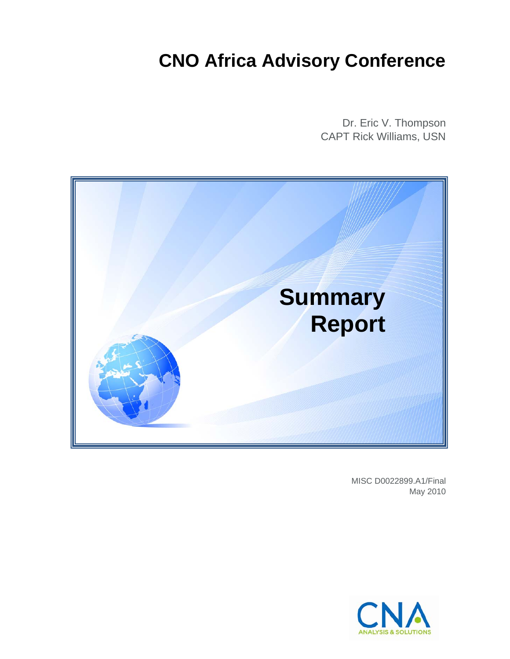## **CNO Africa Advisory Conference**

Dr. Eric V. Thompson CAPT Rick Williams, USN



MISC D0022899.A1/Final May 2010

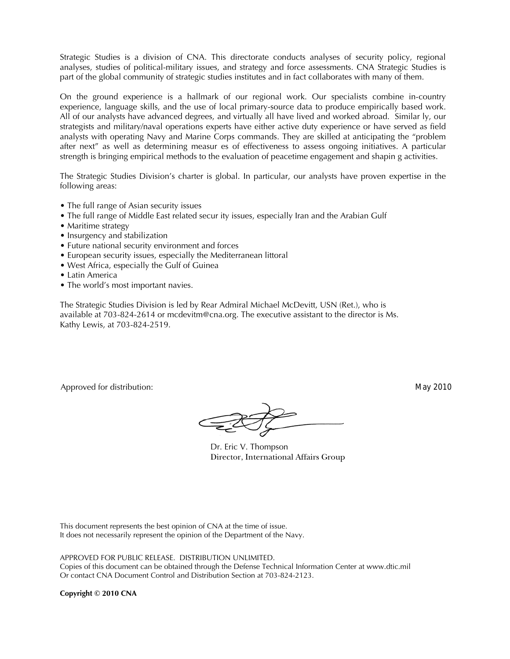Strategic Studies is a division of CNA. This directorate conducts analyses of security policy, regional analyses, studies of political-military issues, and strategy and force assessments. CNA Strategic Studies is part of the global community of strategic studies institutes and in fact collaborates with many of them.

On the ground experience is a hallmark of our regional work. Our specialists combine in-country experience, language skills, and the use of local primary-source data to produce empirically based work. All of our analysts have advanced degrees, and virtually all have lived and worked abroad. Similar ly, our strategists and military/naval operations experts have either active duty experience or have served as field analysts with operating Navy and Marine Corps commands. They are skilled at anticipating the "problem after next" as well as determining measur es of effectiveness to assess ongoing initiatives. A particular strength is bringing empirical methods to the evaluation of peacetime engagement and shapin g activities.

The Strategic Studies Division's charter is global. In particular, our analysts have proven expertise in the following areas:

- The full range of Asian security issues
- The full range of Middle East related secur ity issues, especially Iran and the Arabian Gulf
- Maritime strategy
- Insurgency and stabilization
- Future national security environment and forces
- European security issues, especially the Mediterranean littoral
- West Africa, especially the Gulf of Guinea
- Latin America
- The world's most important navies.

The Strategic Studies Division is led by Rear Admiral Michael McDevitt, USN (Ret.), who is available at 703-824-2614 or mcdevitm@cna.org. The executive assistant to the director is Ms. Kathy Lewis, at 703-824-2519.

Approved for distribution: May 2010

 Dr. Eric V. Thompson Director, International Affairs Group

This document represents the best opinion of CNA at the time of issue. It does not necessarily represent the opinion of the Department of the Navy.

APPROVED FOR PUBLIC RELEASE. DISTRIBUTION UNLIMITED.

Copies of this document can be obtained through the Defense Technical Information Center at www.dtic.mil Or contact CNA Document Control and Distribution Section at 703-824-2123.

**Copyright © 2010 CNA**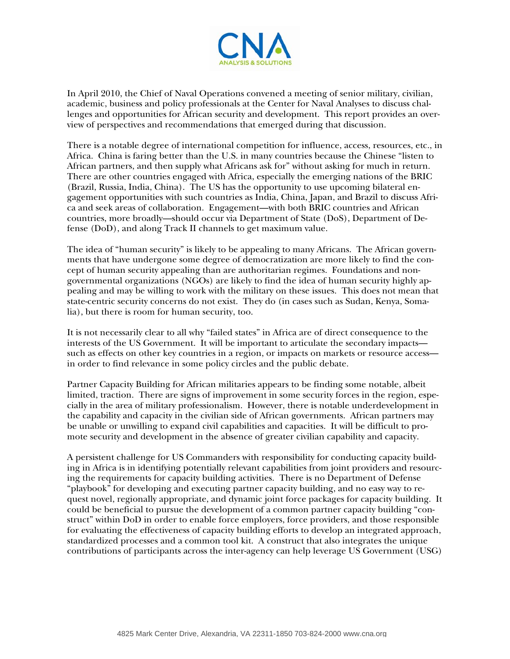

In April 2010, the Chief of Naval Operations convened a meeting of senior military, civilian, academic, business and policy professionals at the Center for Naval Analyses to discuss challenges and opportunities for African security and development. This report provides an overview of perspectives and recommendations that emerged during that discussion.

There is a notable degree of international competition for influence, access, resources, etc., in Africa. China is faring better than the U.S. in many countries because the Chinese "listen to African partners, and then supply what Africans ask for" without asking for much in return. There are other countries engaged with Africa, especially the emerging nations of the BRIC (Brazil, Russia, India, China). The US has the opportunity to use upcoming bilateral engagement opportunities with such countries as India, China, Japan, and Brazil to discuss Africa and seek areas of collaboration. Engagement—with both BRIC countries and African countries, more broadly—should occur via Department of State (DoS), Department of Defense (DoD), and along Track II channels to get maximum value.

The idea of "human security" is likely to be appealing to many Africans. The African governments that have undergone some degree of democratization are more likely to find the concept of human security appealing than are authoritarian regimes. Foundations and nongovernmental organizations (NGOs) are likely to find the idea of human security highly appealing and may be willing to work with the military on these issues. This does not mean that state-centric security concerns do not exist. They do (in cases such as Sudan, Kenya, Somalia), but there is room for human security, too.

It is not necessarily clear to all why "failed states" in Africa are of direct consequence to the interests of the US Government. It will be important to articulate the secondary impacts such as effects on other key countries in a region, or impacts on markets or resource access in order to find relevance in some policy circles and the public debate.

Partner Capacity Building for African militaries appears to be finding some notable, albeit limited, traction. There are signs of improvement in some security forces in the region, especially in the area of military professionalism. However, there is notable underdevelopment in the capability and capacity in the civilian side of African governments. African partners may be unable or unwilling to expand civil capabilities and capacities. It will be difficult to promote security and development in the absence of greater civilian capability and capacity.

A persistent challenge for US Commanders with responsibility for conducting capacity building in Africa is in identifying potentially relevant capabilities from joint providers and resourcing the requirements for capacity building activities. There is no Department of Defense "playbook" for developing and executing partner capacity building, and no easy way to request novel, regionally appropriate, and dynamic joint force packages for capacity building. It could be beneficial to pursue the development of a common partner capacity building "construct" within DoD in order to enable force employers, force providers, and those responsible for evaluating the effectiveness of capacity building efforts to develop an integrated approach, standardized processes and a common tool kit. A construct that also integrates the unique contributions of participants across the inter-agency can help leverage US Government (USG)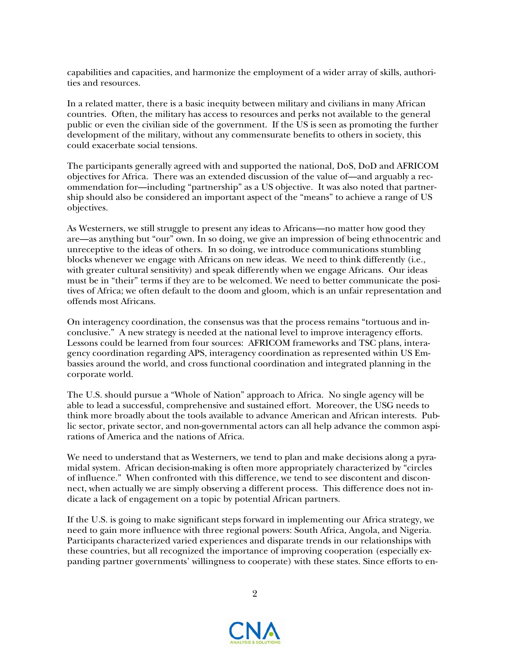capabilities and capacities, and harmonize the employment of a wider array of skills, authorities and resources.

In a related matter, there is a basic inequity between military and civilians in many African countries. Often, the military has access to resources and perks not available to the general public or even the civilian side of the government. If the US is seen as promoting the further development of the military, without any commensurate benefits to others in society, this could exacerbate social tensions.

The participants generally agreed with and supported the national, DoS, DoD and AFRICOM objectives for Africa. There was an extended discussion of the value of—and arguably a recommendation for—including "partnership" as a US objective. It was also noted that partnership should also be considered an important aspect of the "means" to achieve a range of US objectives.

As Westerners, we still struggle to present any ideas to Africans—no matter how good they are—as anything but "our" own. In so doing, we give an impression of being ethnocentric and unreceptive to the ideas of others. In so doing, we introduce communications stumbling blocks whenever we engage with Africans on new ideas. We need to think differently (i.e., with greater cultural sensitivity) and speak differently when we engage Africans. Our ideas must be in "their" terms if they are to be welcomed. We need to better communicate the positives of Africa; we often default to the doom and gloom, which is an unfair representation and offends most Africans.

On interagency coordination, the consensus was that the process remains "tortuous and inconclusive." A new strategy is needed at the national level to improve interagency efforts. Lessons could be learned from four sources: AFRICOM frameworks and TSC plans, interagency coordination regarding APS, interagency coordination as represented within US Embassies around the world, and cross functional coordination and integrated planning in the corporate world.

The U.S. should pursue a "Whole of Nation" approach to Africa. No single agency will be able to lead a successful, comprehensive and sustained effort. Moreover, the USG needs to think more broadly about the tools available to advance American and African interests. Public sector, private sector, and non-governmental actors can all help advance the common aspirations of America and the nations of Africa.

We need to understand that as Westerners, we tend to plan and make decisions along a pyramidal system. African decision-making is often more appropriately characterized by "circles of influence." When confronted with this difference, we tend to see discontent and disconnect, when actually we are simply observing a different process. This difference does not indicate a lack of engagement on a topic by potential African partners.

If the U.S. is going to make significant steps forward in implementing our Africa strategy, we need to gain more influence with three regional powers: South Africa, Angola, and Nigeria. Participants characterized varied experiences and disparate trends in our relationships with these countries, but all recognized the importance of improving cooperation (especially expanding partner governments' willingness to cooperate) with these states. Since efforts to en-

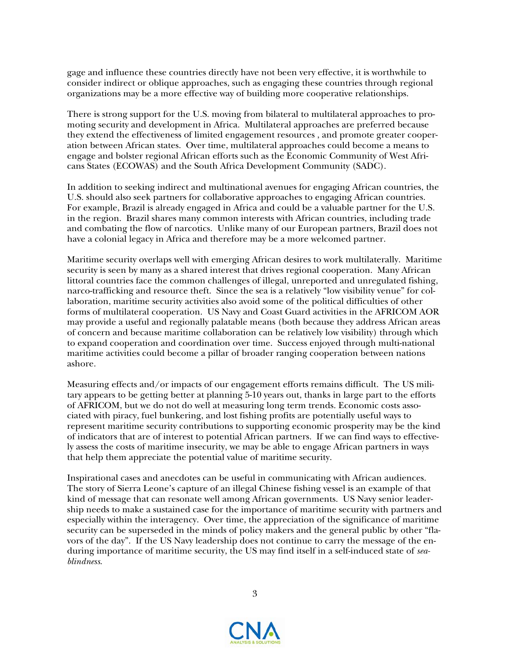gage and influence these countries directly have not been very effective, it is worthwhile to consider indirect or oblique approaches, such as engaging these countries through regional organizations may be a more effective way of building more cooperative relationships.

There is strong support for the U.S. moving from bilateral to multilateral approaches to promoting security and development in Africa. Multilateral approaches are preferred because they extend the effectiveness of limited engagement resources , and promote greater cooperation between African states. Over time, multilateral approaches could become a means to engage and bolster regional African efforts such as the Economic Community of West Africans States (ECOWAS) and the South Africa Development Community (SADC).

In addition to seeking indirect and multinational avenues for engaging African countries, the U.S. should also seek partners for collaborative approaches to engaging African countries. For example, Brazil is already engaged in Africa and could be a valuable partner for the U.S. in the region. Brazil shares many common interests with African countries, including trade and combating the flow of narcotics. Unlike many of our European partners, Brazil does not have a colonial legacy in Africa and therefore may be a more welcomed partner.

Maritime security overlaps well with emerging African desires to work multilaterally. Maritime security is seen by many as a shared interest that drives regional cooperation. Many African littoral countries face the common challenges of illegal, unreported and unregulated fishing, narco-trafficking and resource theft. Since the sea is a relatively "low visibility venue" for collaboration, maritime security activities also avoid some of the political difficulties of other forms of multilateral cooperation. US Navy and Coast Guard activities in the AFRICOM AOR may provide a useful and regionally palatable means (both because they address African areas of concern and because maritime collaboration can be relatively low visibility) through which to expand cooperation and coordination over time. Success enjoyed through multi-national maritime activities could become a pillar of broader ranging cooperation between nations ashore.

Measuring effects and/or impacts of our engagement efforts remains difficult. The US military appears to be getting better at planning 5-10 years out, thanks in large part to the efforts of AFRICOM, but we do not do well at measuring long term trends. Economic costs associated with piracy, fuel bunkering, and lost fishing profits are potentially useful ways to represent maritime security contributions to supporting economic prosperity may be the kind of indicators that are of interest to potential African partners. If we can find ways to effectively assess the costs of maritime insecurity, we may be able to engage African partners in ways that help them appreciate the potential value of maritime security.

Inspirational cases and anecdotes can be useful in communicating with African audiences. The story of Sierra Leone's capture of an illegal Chinese fishing vessel is an example of that kind of message that can resonate well among African governments. US Navy senior leadership needs to make a sustained case for the importance of maritime security with partners and especially within the interagency. Over time, the appreciation of the significance of maritime security can be superseded in the minds of policy makers and the general public by other "flavors of the day". If the US Navy leadership does not continue to carry the message of the enduring importance of maritime security, the US may find itself in a self-induced state of *seablindness*.